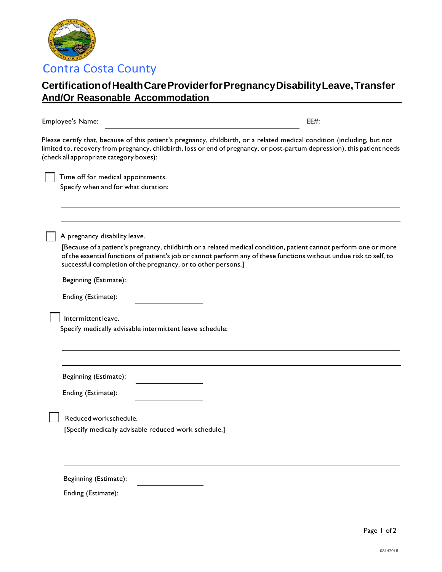

## **CertificationofHealthCareProviderforPregnancyDisabilityLeave,Transfer And/Or Reasonable Accommodation**

Employee's Name: EE#:

Please certify that, because of this patient's pregnancy, childbirth, or a related medical condition (including, but not limited to, recovery from pregnancy, childbirth, loss or end of pregnancy, or post-partum depression), this patient needs (check all appropriate category boxes):

 Time off for medical appointments. Specify when and for what duration:

A pregnancy disability leave.

[Because of a patient's pregnancy, childbirth or a related medical condition, patient cannot perform one or more of the essential functions of patient's job or cannot perform any of these functions without undue risk to self, to successful completion of the pregnancy, or to other persons.]

Beginning (Estimate):

|  | Ending (Estimate): |  |
|--|--------------------|--|
|--|--------------------|--|

Intermittent leave.

Specify medically advisable intermittent leave schedule:

Beginning (Estimate):

Ending (Estimate):

Reducedwork schedule.

[Specify medically advisable reduced work schedule.]

Beginning (Estimate):

Ending (Estimate):